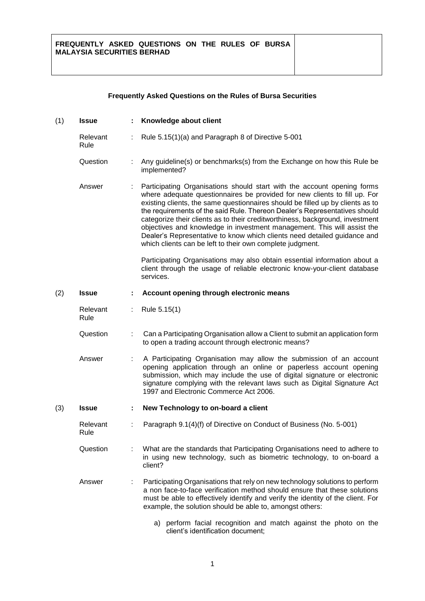## **Frequently Asked Questions on the Rules of Bursa Securities**

| (1) | <b>Issue</b>     |    | Knowledge about client                                                                                                                                                                                                                                                                                                                                                                                                                                                                                                                                                                                                    |
|-----|------------------|----|---------------------------------------------------------------------------------------------------------------------------------------------------------------------------------------------------------------------------------------------------------------------------------------------------------------------------------------------------------------------------------------------------------------------------------------------------------------------------------------------------------------------------------------------------------------------------------------------------------------------------|
|     | Relevant<br>Rule |    | Rule 5.15(1)(a) and Paragraph 8 of Directive 5-001                                                                                                                                                                                                                                                                                                                                                                                                                                                                                                                                                                        |
|     | Question         | ÷. | Any guideline(s) or benchmarks(s) from the Exchange on how this Rule be<br>implemented?                                                                                                                                                                                                                                                                                                                                                                                                                                                                                                                                   |
|     | Answer           |    | Participating Organisations should start with the account opening forms<br>where adequate questionnaires be provided for new clients to fill up. For<br>existing clients, the same questionnaires should be filled up by clients as to<br>the requirements of the said Rule. Thereon Dealer's Representatives should<br>categorize their clients as to their creditworthiness, background, investment<br>objectives and knowledge in investment management. This will assist the<br>Dealer's Representative to know which clients need detailed guidance and<br>which clients can be left to their own complete judgment. |
|     |                  |    | Participating Organisations may also obtain essential information about a<br>client through the usage of reliable electronic know-your-client database<br>services.                                                                                                                                                                                                                                                                                                                                                                                                                                                       |
| (2) | <b>Issue</b>     |    | Account opening through electronic means                                                                                                                                                                                                                                                                                                                                                                                                                                                                                                                                                                                  |
|     | Relevant<br>Rule | ÷  | Rule 5.15(1)                                                                                                                                                                                                                                                                                                                                                                                                                                                                                                                                                                                                              |
|     | Question         |    | Can a Participating Organisation allow a Client to submit an application form<br>to open a trading account through electronic means?                                                                                                                                                                                                                                                                                                                                                                                                                                                                                      |
|     | Answer           | ÷. | A Participating Organisation may allow the submission of an account<br>opening application through an online or paperless account opening<br>submission, which may include the use of digital signature or electronic<br>signature complying with the relevant laws such as Digital Signature Act<br>1997 and Electronic Commerce Act 2006.                                                                                                                                                                                                                                                                               |
| (3) | <b>Issue</b>     | ÷  | New Technology to on-board a client                                                                                                                                                                                                                                                                                                                                                                                                                                                                                                                                                                                       |
|     | Relevant<br>Rule |    | Paragraph 9.1(4)(f) of Directive on Conduct of Business (No. 5-001)                                                                                                                                                                                                                                                                                                                                                                                                                                                                                                                                                       |
|     | Question         |    | What are the standards that Participating Organisations need to adhere to<br>in using new technology, such as biometric technology, to on-board a<br>client?                                                                                                                                                                                                                                                                                                                                                                                                                                                              |
|     | Answer           | ÷  | Participating Organisations that rely on new technology solutions to perform<br>a non face-to-face verification method should ensure that these solutions<br>must be able to effectively identify and verify the identity of the client. For<br>example, the solution should be able to, amongst others:                                                                                                                                                                                                                                                                                                                  |
|     |                  |    | a) perform facial recognition and match against the photo on the<br>client's identification document;                                                                                                                                                                                                                                                                                                                                                                                                                                                                                                                     |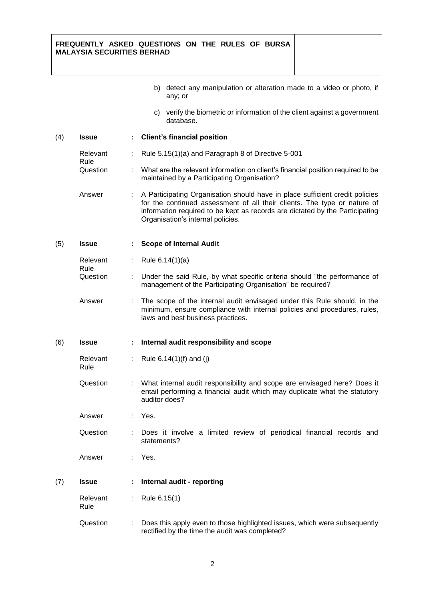## **FREQUENTLY ASKED QUESTIONS ON THE RULES OF BURSA MALAYSIA SECURITIES BERHAD**

|     |                  |    | b) detect any manipulation or alteration made to a video or photo, if<br>any; or                                                                                                                                                                                              |
|-----|------------------|----|-------------------------------------------------------------------------------------------------------------------------------------------------------------------------------------------------------------------------------------------------------------------------------|
|     |                  |    | c) verify the biometric or information of the client against a government<br>database.                                                                                                                                                                                        |
| (4) | <b>Issue</b>     | t, | <b>Client's financial position</b>                                                                                                                                                                                                                                            |
|     | Relevant<br>Rule |    | Rule 5.15(1)(a) and Paragraph 8 of Directive 5-001                                                                                                                                                                                                                            |
|     | Question         |    | What are the relevant information on client's financial position required to be<br>maintained by a Participating Organisation?                                                                                                                                                |
|     | Answer           |    | A Participating Organisation should have in place sufficient credit policies<br>for the continued assessment of all their clients. The type or nature of<br>information required to be kept as records are dictated by the Participating<br>Organisation's internal policies. |
| (5) | <b>Issue</b>     | ÷. | <b>Scope of Internal Audit</b>                                                                                                                                                                                                                                                |
|     | Relevant         |    | Rule $6.14(1)(a)$                                                                                                                                                                                                                                                             |
|     | Rule<br>Question |    | Under the said Rule, by what specific criteria should "the performance of<br>management of the Participating Organisation" be required?                                                                                                                                       |
|     | Answer           |    | The scope of the internal audit envisaged under this Rule should, in the<br>minimum, ensure compliance with internal policies and procedures, rules,<br>laws and best business practices.                                                                                     |
| (6) | <b>Issue</b>     |    | Internal audit responsibility and scope                                                                                                                                                                                                                                       |
|     | Relevant<br>Rule |    | Rule $6.14(1)(f)$ and (j)                                                                                                                                                                                                                                                     |
|     | Question         |    | What internal audit responsibility and scope are envisaged here? Does it<br>entail performing a financial audit which may duplicate what the statutory<br>auditor does?                                                                                                       |
|     | Answer           |    | Yes.                                                                                                                                                                                                                                                                          |
|     | Question         |    | Does it involve a limited review of periodical financial records and<br>statements?                                                                                                                                                                                           |
|     | Answer           |    | Yes.                                                                                                                                                                                                                                                                          |
| (7) | <b>Issue</b>     |    | Internal audit - reporting                                                                                                                                                                                                                                                    |
|     | Relevant<br>Rule |    | Rule 6.15(1)                                                                                                                                                                                                                                                                  |
|     | Question         | t  | Does this apply even to those highlighted issues, which were subsequently<br>rectified by the time the audit was completed?                                                                                                                                                   |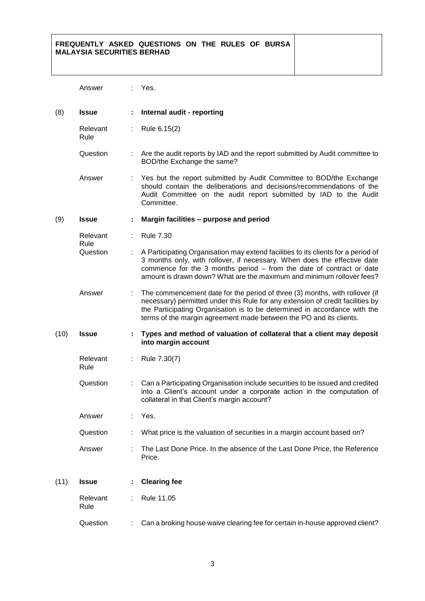## **FREQUENTLY ASKED QUESTIONS ON THE RULES OF BURSA MALAYSIA SECURITIES BERHAD**

|      | Answer           |    | Yes.                                                                                                                                                                                                                                                                                                             |
|------|------------------|----|------------------------------------------------------------------------------------------------------------------------------------------------------------------------------------------------------------------------------------------------------------------------------------------------------------------|
| (8)  | <b>Issue</b>     |    | Internal audit - reporting                                                                                                                                                                                                                                                                                       |
|      | Relevant<br>Rule | ÷  | Rule 6.15(2)                                                                                                                                                                                                                                                                                                     |
|      | Question         |    | Are the audit reports by IAD and the report submitted by Audit committee to<br>BOD/the Exchange the same?                                                                                                                                                                                                        |
|      | Answer           |    | Yes but the report submitted by Audit Committee to BOD/the Exchange<br>should contain the deliberations and decisions/recommendations of the<br>Audit Committee on the audit report submitted by IAD to the Audit<br>Committee.                                                                                  |
| (9)  | <b>Issue</b>     |    | Margin facilities - purpose and period                                                                                                                                                                                                                                                                           |
|      | Relevant<br>Rule |    | <b>Rule 7.30</b>                                                                                                                                                                                                                                                                                                 |
|      | Question         | ÷. | A Participating Organisation may extend facilities to its clients for a period of<br>3 months only, with rollover, if necessary. When does the effective date<br>commence for the 3 months period - from the date of contract or date<br>amount is drawn down? What are the maximum and minimum rollover fees?   |
|      | Answer           | ÷. | The commencement date for the period of three (3) months, with rollover (if<br>necessary) permitted under this Rule for any extension of credit facilities by<br>the Participating Organisation is to be determined in accordance with the<br>terms of the margin agreement made between the PO and its clients. |
| (10) | <b>Issue</b>     |    | Types and method of valuation of collateral that a client may deposit<br>into margin account                                                                                                                                                                                                                     |
|      | Relevant<br>Rule |    | Rule 7.30(7)                                                                                                                                                                                                                                                                                                     |
|      | Question         |    | Can a Participating Organisation include securities to be issued and credited<br>into a Client's account under a corporate action in the computation of<br>collateral in that Client's margin account?                                                                                                           |
|      | Answer           |    | Yes.                                                                                                                                                                                                                                                                                                             |
|      | Question         |    | What price is the valuation of securities in a margin account based on?                                                                                                                                                                                                                                          |
|      | Answer           |    | The Last Done Price. In the absence of the Last Done Price, the Reference<br>Price.                                                                                                                                                                                                                              |
| (11) | <b>Issue</b>     |    | <b>Clearing fee</b>                                                                                                                                                                                                                                                                                              |
|      | Relevant<br>Rule |    | Rule 11.05                                                                                                                                                                                                                                                                                                       |
|      | Question         |    | Can a broking house waive clearing fee for certain in-house approved client?                                                                                                                                                                                                                                     |